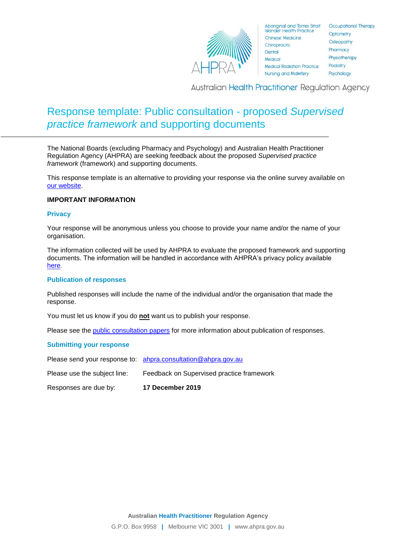

**Occupational Therapy** Optometry Osteopathy Pharmacy Physiotherapy Podiatry Psychology

**Australian Health Practitioner Regulation Agency** 

# Response template: Public consultation - proposed *Supervised practice framework* and supporting documents

The National Boards (excluding Pharmacy and Psychology) and Australian Health Practitioner Regulation Agency (AHPRA) are seeking feedback about the proposed *Supervised practice framework* (framework) and supporting documents.

This response template is an alternative to providing your response via the online survey available on [our website.](https://www.ahpra.gov.au/News/Consultations.aspx)

#### **IMPORTANT INFORMATION**

#### **Privacy**

Your response will be anonymous unless you choose to provide your name and/or the name of your organisation.

The information collected will be used by AHPRA to evaluate the proposed framework and supporting documents. The information will be handled in accordance with AHPRA's privacy policy available [here.](https://www.ahpra.gov.au/About-AHPRA/Privacy.aspx)

#### **Publication of responses**

Published responses will include the name of the individual and/or the organisation that made the response.

You must let us know if you do **not** want us to publish your response.

Please see the [public consultation papers](https://www.ahpra.gov.au/News/Consultations.aspx) for more information about publication of responses.

#### **Submitting your response**

Please send your response to: [ahpra.consultation@ahpra.gov.au](mailto:ahpra.consultation@ahpra.gov.au)

Please use the subject line: Feedback on Supervised practice framework

Responses are due by: **17 December 2019**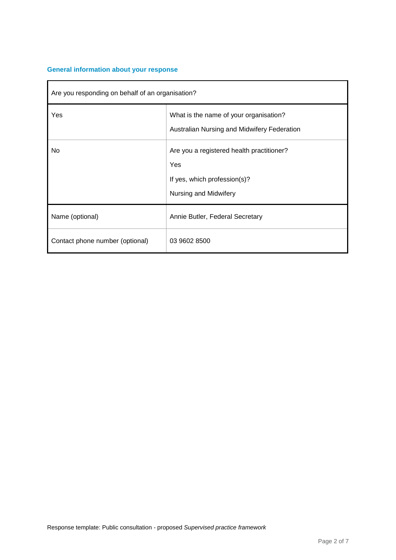## **General information about your response**

| Are you responding on behalf of an organisation? |                                                                                                           |
|--------------------------------------------------|-----------------------------------------------------------------------------------------------------------|
| Yes                                              | What is the name of your organisation?<br>Australian Nursing and Midwifery Federation                     |
| No.                                              | Are you a registered health practitioner?<br>Yes<br>If yes, which profession(s)?<br>Nursing and Midwifery |
| Name (optional)                                  | Annie Butler, Federal Secretary                                                                           |
| Contact phone number (optional)                  | 03 9602 8500                                                                                              |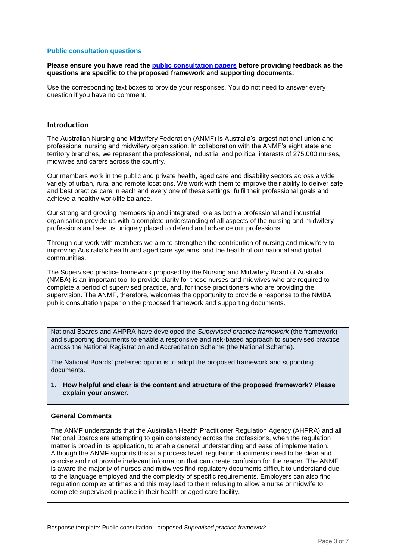#### **Public consultation questions**

#### **Please ensure you have read the [public consultation papers](https://www.ahpra.gov.au/News/Consultations.aspx) before providing feedback as the questions are specific to the proposed framework and supporting documents.**

Use the corresponding text boxes to provide your responses. You do not need to answer every question if you have no comment.

#### **Introduction**

The Australian Nursing and Midwifery Federation (ANMF) is Australia's largest national union and professional nursing and midwifery organisation. In collaboration with the ANMF's eight state and territory branches, we represent the professional, industrial and political interests of 275,000 nurses, midwives and carers across the country.

Our members work in the public and private health, aged care and disability sectors across a wide variety of urban, rural and remote locations. We work with them to improve their ability to deliver safe and best practice care in each and every one of these settings, fulfil their professional goals and achieve a healthy work/life balance.

Our strong and growing membership and integrated role as both a professional and industrial organisation provide us with a complete understanding of all aspects of the nursing and midwifery professions and see us uniquely placed to defend and advance our professions.

Through our work with members we aim to strengthen the contribution of nursing and midwifery to improving Australia's health and aged care systems, and the health of our national and global communities.

The Supervised practice framework proposed by the Nursing and Midwifery Board of Australia (NMBA) is an important tool to provide clarity for those nurses and midwives who are required to complete a period of supervised practice, and, for those practitioners who are providing the supervision. The ANMF, therefore, welcomes the opportunity to provide a response to the NMBA public consultation paper on the proposed framework and supporting documents.

National Boards and AHPRA have developed the *Supervised practice framework* (the framework) and supporting documents to enable a responsive and risk-based approach to supervised practice across the National Registration and Accreditation Scheme (the National Scheme).

The National Boards' preferred option is to adopt the proposed framework and supporting documents.

**1. How helpful and clear is the content and structure of the proposed framework? Please explain your answer.**

#### **General Comments**

The ANMF understands that the Australian Health Practitioner Regulation Agency (AHPRA) and all National Boards are attempting to gain consistency across the professions, when the regulation matter is broad in its application, to enable general understanding and ease of implementation. Although the ANMF supports this at a process level, regulation documents need to be clear and concise and not provide irrelevant information that can create confusion for the reader. The ANMF is aware the majority of nurses and midwives find regulatory documents difficult to understand due to the language employed and the complexity of specific requirements. Employers can also find regulation complex at times and this may lead to them refusing to allow a nurse or midwife to complete supervised practice in their health or aged care facility.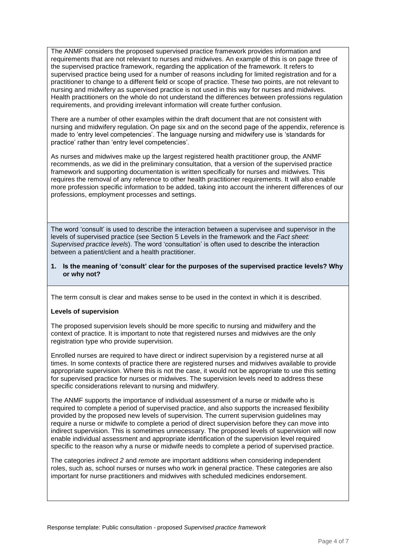The ANMF considers the proposed supervised practice framework provides information and requirements that are not relevant to nurses and midwives. An example of this is on page three of the supervised practice framework, regarding the application of the framework. It refers to supervised practice being used for a number of reasons including for limited registration and for a practitioner to change to a different field or scope of practice. These two points, are not relevant to nursing and midwifery as supervised practice is not used in this way for nurses and midwives. Health practitioners on the whole do not understand the differences between professions regulation requirements, and providing irrelevant information will create further confusion.

There are a number of other examples within the draft document that are not consistent with nursing and midwifery regulation. On page six and on the second page of the appendix, reference is made to 'entry level competencies'. The language nursing and midwifery use is 'standards for practice' rather than 'entry level competencies'.

As nurses and midwives make up the largest registered health practitioner group, the ANMF recommends, as we did in the preliminary consultation, that a version of the supervised practice framework and supporting documentation is written specifically for nurses and midwives. This requires the removal of any reference to other health practitioner requirements. It will also enable more profession specific information to be added, taking into account the inherent differences of our professions, employment processes and settings.

The word 'consult' is used to describe the interaction between a supervisee and supervisor in the levels of supervised practice (see Section 5 Levels in the framework and the *Fact sheet: Supervised practice levels*). The word 'consultation' is often used to describe the interaction between a patient/client and a health practitioner.

#### **1. Is the meaning of 'consult' clear for the purposes of the supervised practice levels? Why or why not?**

The term consult is clear and makes sense to be used in the context in which it is described.

#### **Levels of supervision**

The proposed supervision levels should be more specific to nursing and midwifery and the context of practice. It is important to note that registered nurses and midwives are the only registration type who provide supervision.

Enrolled nurses are required to have direct or indirect supervision by a registered nurse at all times. In some contexts of practice there are registered nurses and midwives available to provide appropriate supervision. Where this is not the case, it would not be appropriate to use this setting for supervised practice for nurses or midwives. The supervision levels need to address these specific considerations relevant to nursing and midwifery.

The ANMF supports the importance of individual assessment of a nurse or midwife who is required to complete a period of supervised practice, and also supports the increased flexibility provided by the proposed new levels of supervision. The current supervision guidelines may require a nurse or midwife to complete a period of direct supervision before they can move into indirect supervision. This is sometimes unnecessary. The proposed levels of supervision will now enable individual assessment and appropriate identification of the supervision level required specific to the reason why a nurse or midwife needs to complete a period of supervised practice.

The categories *indirect 2* and *remote* are important additions when considering independent roles, such as, school nurses or nurses who work in general practice. These categories are also important for nurse practitioners and midwives with scheduled medicines endorsement.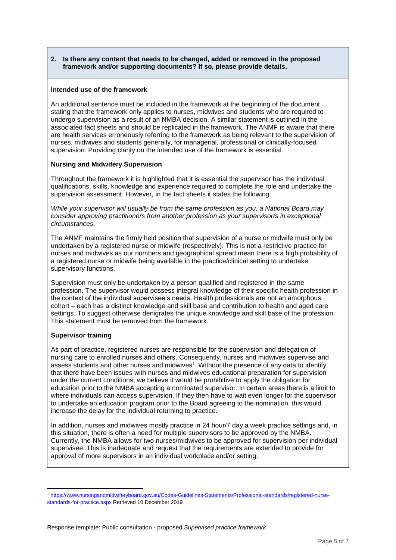#### **2. Is there any content that needs to be changed, added or removed in the proposed framework and/or supporting documents? If so, please provide details.**

#### **Intended use of the framework**

An additional sentence must be included in the framework at the beginning of the document, stating that the framework only applies to nurses, midwives and students who are required to undergo supervision as a result of an NMBA decision. A similar statement is outlined in the associated fact sheets and should be replicated in the framework. The ANMF is aware that there are health services erroneously referring to the framework as being relevant to the supervision of nurses, midwives and students generally, for managerial, professional or clinically-focused supervision. Providing clarity on the intended use of the framework is essential.

#### **Nursing and Midwifery Supervision**

Throughout the framework it is highlighted that it is essential the supervisor has the individual qualifications, skills, knowledge and experience required to complete the role and undertake the supervision assessment. However, in the fact sheets it states the following:

*While your supervisor will usually be from the same profession as you, a National Board may consider approving practitioners from another profession as your supervisor/s in exceptional circumstances.*

The ANMF maintains the firmly held position that supervision of a nurse or midwife must only be undertaken by a registered nurse or midwife (respectively). This is not a restrictive practice for nurses and midwives as our numbers and geographical spread mean there is a high probability of a registered nurse or midwife being available in the practice/clinical setting to undertake supervisory functions.

Supervision must only be undertaken by a person qualified and registered in the same profession. The supervisor would possess integral knowledge of their specific health profession in the context of the individual supervisee's needs. Health professionals are not an amorphous cohort – each has a distinct knowledge and skill base and contribution to health and aged care settings. To suggest otherwise denigrates the unique knowledge and skill base of the profession. This statement must be removed from the framework.

### **Supervisor training**

l

As part of practice, registered nurses are responsible for the supervision and delegation of nursing care to enrolled nurses and others. Consequently, nurses and midwives supervise and assess students and other nurses and midwives<sup>1</sup>. Without the presence of any data to identify that there have been issues with nurses and midwives educational preparation for supervision under the current conditions, we believe it would be prohibitive to apply the obligation for education prior to the NMBA accepting a nominated supervisor. In certain areas there is a limit to where individuals can access supervision. If they then have to wait even longer for the supervisor to undertake an education program prior to the Board agreeing to the nomination, this would increase the delay for the individual returning to practice.

In addition, nurses and midwives mostly practice in 24 hour/7 day a week practice settings and, in this situation, there is often a need for multiple supervisors to be approved by the NMBA. Currently, the NMBA allows for two nurses/midwives to be approved for supervision per individual supervisee. This is inadequate and request that the requirements are extended to provide for approval of more supervisors in an individual workplace and/or setting.

<sup>1</sup> [https://www.nursingandmidwiferyboard.gov.au/Codes-Guidelines-Statements/Professional-standards/registered-nurse](https://www.nursingandmidwiferyboard.gov.au/Codes-Guidelines-Statements/Professional-standards/registered-nurse-standards-for-practice.aspx)[standards-for-practice.aspx](https://www.nursingandmidwiferyboard.gov.au/Codes-Guidelines-Statements/Professional-standards/registered-nurse-standards-for-practice.aspx) Retrieved 10 December 2019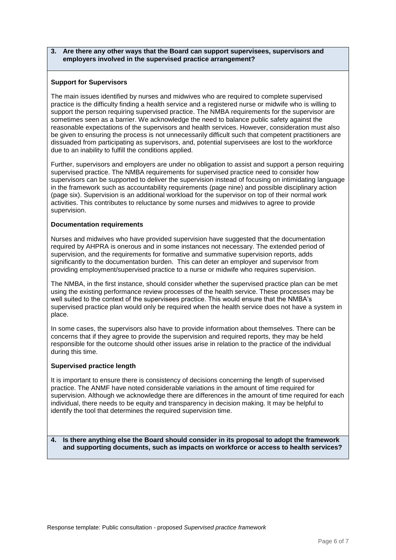#### **3. Are there any other ways that the Board can support supervisees, supervisors and employers involved in the supervised practice arrangement?**

#### **Support for Supervisors**

The main issues identified by nurses and midwives who are required to complete supervised practice is the difficulty finding a health service and a registered nurse or midwife who is willing to support the person requiring supervised practice. The NMBA requirements for the supervisor are sometimes seen as a barrier. We acknowledge the need to balance public safety against the reasonable expectations of the supervisors and health services. However, consideration must also be given to ensuring the process is not unnecessarily difficult such that competent practitioners are dissuaded from participating as supervisors, and, potential supervisees are lost to the workforce due to an inability to fulfill the conditions applied.

Further, supervisors and employers are under no obligation to assist and support a person requiring supervised practice. The NMBA requirements for supervised practice need to consider how supervisors can be supported to deliver the supervision instead of focusing on intimidating language in the framework such as accountability requirements (page nine) and possible disciplinary action (page six). Supervision is an additional workload for the supervisor on top of their normal work activities. This contributes to reluctance by some nurses and midwives to agree to provide supervision.

#### **Documentation requirements**

Nurses and midwives who have provided supervision have suggested that the documentation required by AHPRA is onerous and in some instances not necessary. The extended period of supervision, and the requirements for formative and summative supervision reports, adds significantly to the documentation burden. This can deter an employer and supervisor from providing employment/supervised practice to a nurse or midwife who requires supervision.

The NMBA, in the first instance, should consider whether the supervised practice plan can be met using the existing performance review processes of the health service. These processes may be well suited to the context of the supervisees practice. This would ensure that the NMBA's supervised practice plan would only be required when the health service does not have a system in place.

In some cases, the supervisors also have to provide information about themselves. There can be concerns that if they agree to provide the supervision and required reports, they may be held responsible for the outcome should other issues arise in relation to the practice of the individual during this time.

#### **Supervised practice length**

It is important to ensure there is consistency of decisions concerning the length of supervised practice. The ANMF have noted considerable variations in the amount of time required for supervision. Although we acknowledge there are differences in the amount of time required for each individual, there needs to be equity and transparency in decision making. It may be helpful to identify the tool that determines the required supervision time.

**4. Is there anything else the Board should consider in its proposal to adopt the framework and supporting documents, such as impacts on workforce or access to health services?**